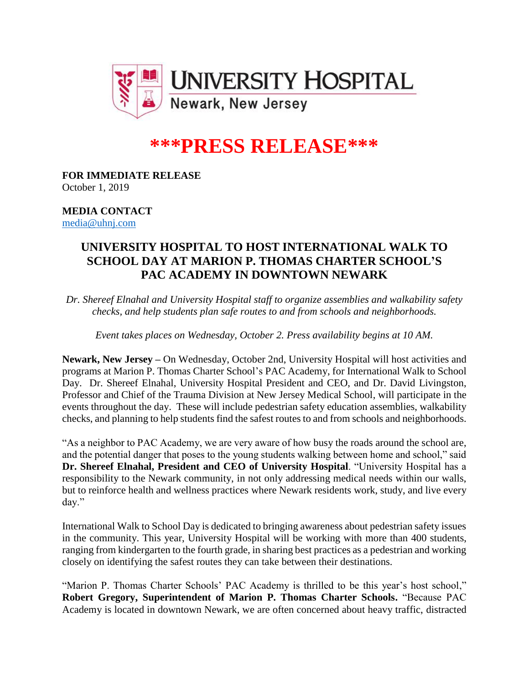

## **\*\*\*PRESS RELEASE\*\*\***

**FOR IMMEDIATE RELEASE** October 1, 2019

## **MEDIA CONTACT** [media@uhnj.com](mailto:media@uhnj.com)

## **UNIVERSITY HOSPITAL TO HOST INTERNATIONAL WALK TO SCHOOL DAY AT MARION P. THOMAS CHARTER SCHOOL'S PAC ACADEMY IN DOWNTOWN NEWARK**

*Dr. Shereef Elnahal and University Hospital staff to organize assemblies and walkability safety checks, and help students plan safe routes to and from schools and neighborhoods.*

*Event takes places on Wednesday, October 2. Press availability begins at 10 AM.*

**Newark, New Jersey –** On Wednesday, October 2nd, University Hospital will host activities and programs at Marion P. Thomas Charter School's PAC Academy, for International Walk to School Day. Dr. Shereef Elnahal, University Hospital President and CEO, and Dr. David Livingston, Professor and Chief of the Trauma Division at New Jersey Medical School, will participate in the events throughout the day. These will include pedestrian safety education assemblies, walkability checks, and planning to help students find the safest routes to and from schools and neighborhoods.

"As a neighbor to PAC Academy, we are very aware of how busy the roads around the school are, and the potential danger that poses to the young students walking between home and school," said **Dr. Shereef Elnahal, President and CEO of University Hospital**. "University Hospital has a responsibility to the Newark community, in not only addressing medical needs within our walls, but to reinforce health and wellness practices where Newark residents work, study, and live every day."

International Walk to School Day is dedicated to bringing awareness about pedestrian safety issues in the community. This year, University Hospital will be working with more than 400 students, ranging from kindergarten to the fourth grade, in sharing best practices as a pedestrian and working closely on identifying the safest routes they can take between their destinations.

"Marion P. Thomas Charter Schools' PAC Academy is thrilled to be this year's host school," **Robert Gregory, Superintendent of Marion P. Thomas Charter Schools.** "Because PAC Academy is located in downtown Newark, we are often concerned about heavy traffic, distracted